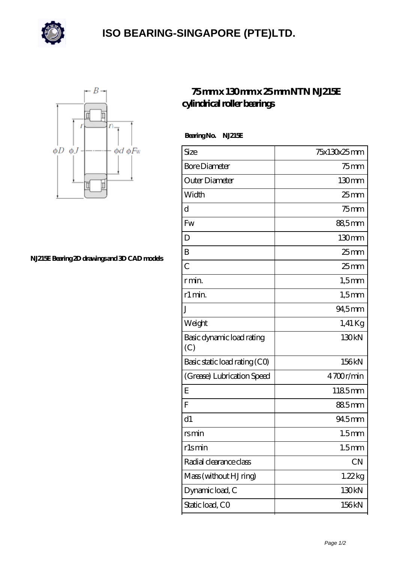

## **[ISO BEARING-SINGAPORE \(PTE\)LTD.](https://m.calvadosbnb.com)**



**[NJ215E Bearing 2D drawings and 3D CAD models](https://m.calvadosbnb.com/pic-65129388.html)**

## **[75 mm x 130 mm x 25 mm NTN NJ215E](https://m.calvadosbnb.com/ntn-nj215e-bearing/) [cylindrical roller bearings](https://m.calvadosbnb.com/ntn-nj215e-bearing/)**

 **Bearing No. NJ215E**

| Size                             | 75x130x25mm       |
|----------------------------------|-------------------|
| <b>Bore Diameter</b>             | $75$ mm           |
| Outer Diameter                   | 130mm             |
| Width                            | $25$ mm           |
| d                                | $75$ mm           |
| Fw                               | 88,5mm            |
| D                                | 130mm             |
| B                                | 25 <sub>mm</sub>  |
| $\overline{C}$                   | 25 <sub>mm</sub>  |
| r min.                           | $1,5$ mm          |
| r1 min.                          | $1,5$ mm          |
| J                                | 94,5mm            |
| Weight                           | $1,41$ Kg         |
| Basic dynamic load rating<br>(C) | 130kN             |
| Basic static load rating (CO)    | 156kN             |
| (Grease) Lubrication Speed       | 4700r/min         |
| Ε                                | 1185mm            |
| $\overline{F}$                   | 885mm             |
| d1                               | 94.5mm            |
| <u>rsmin</u>                     | 1.5 <sub>mm</sub> |
| rlsmin                           | 1.5 <sub>mm</sub> |
| Radial clearance class           | CN                |
| Mass (without HJ ring)           | 1.22kg            |
| Dynamic load, C                  | 130kN             |
| Static load, CO                  | 156kN             |
|                                  |                   |